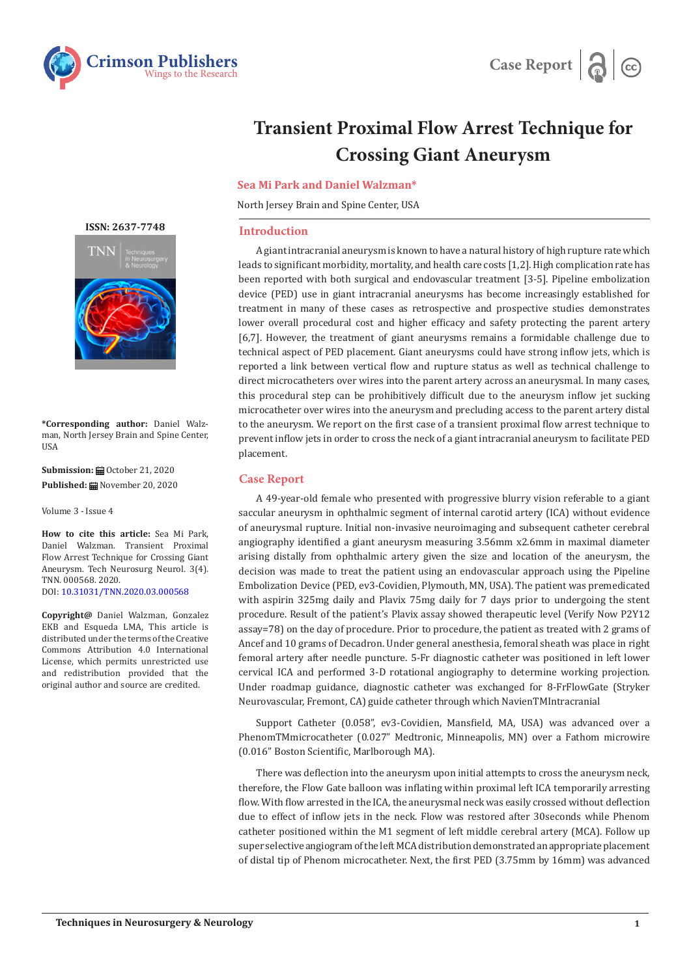



# **Transient Proximal Flow Arrest Technique for Crossing Giant Aneurysm**

**Sea Mi Park and Daniel Walzman\***

North Jersey Brain and Spine Center, USA

## **Introduction**

A giant intracranial aneurysm is known to have a natural history of high rupture rate which leads to significant morbidity, mortality, and health care costs [1,2]. High complication rate has been reported with both surgical and endovascular treatment [3-5]. Pipeline embolization device (PED) use in giant intracranial aneurysms has become increasingly established for treatment in many of these cases as retrospective and prospective studies demonstrates lower overall procedural cost and higher efficacy and safety protecting the parent artery [6,7]. However, the treatment of giant aneurysms remains a formidable challenge due to technical aspect of PED placement. Giant aneurysms could have strong inflow jets, which is reported a link between vertical flow and rupture status as well as technical challenge to direct microcatheters over wires into the parent artery across an aneurysmal. In many cases, this procedural step can be prohibitively difficult due to the aneurysm inflow jet sucking microcatheter over wires into the aneurysm and precluding access to the parent artery distal to the aneurysm. We report on the first case of a transient proximal flow arrest technique to prevent inflow jets in order to cross the neck of a giant intracranial aneurysm to facilitate PED placement.

## **Case Report**

A 49-year-old female who presented with progressive blurry vision referable to a giant saccular aneurysm in ophthalmic segment of internal carotid artery (ICA) without evidence of aneurysmal rupture. Initial non-invasive neuroimaging and subsequent catheter cerebral angiography identified a giant aneurysm measuring 3.56mm x2.6mm in maximal diameter arising distally from ophthalmic artery given the size and location of the aneurysm, the decision was made to treat the patient using an endovascular approach using the Pipeline Embolization Device (PED, ev3-Covidien, Plymouth, MN, USA). The patient was premedicated with aspirin 325mg daily and Plavix 75mg daily for 7 days prior to undergoing the stent procedure. Result of the patient's Plavix assay showed therapeutic level (Verify Now P2Y12 assay=78) on the day of procedure. Prior to procedure, the patient as treated with 2 grams of Ancef and 10 grams of Decadron. Under general anesthesia, femoral sheath was place in right femoral artery after needle puncture. 5-Fr diagnostic catheter was positioned in left lower cervical ICA and performed 3-D rotational angiography to determine working projection. Under roadmap guidance, diagnostic catheter was exchanged for 8-FrFlowGate (Stryker Neurovascular, Fremont, CA) guide catheter through which NavienTMIntracranial

Support Catheter (0.058", ev3-Covidien, Mansfield, MA, USA) was advanced over a PhenomTMmicrocatheter (0.027" Medtronic, Minneapolis, MN) over a Fathom microwire (0.016" Boston Scientific, Marlborough MA).

There was deflection into the aneurysm upon initial attempts to cross the aneurysm neck, therefore, the Flow Gate balloon was inflating within proximal left ICA temporarily arresting flow. With flow arrested in the ICA, the aneurysmal neck was easily crossed without deflection due to effect of inflow jets in the neck. Flow was restored after 30seconds while Phenom catheter positioned within the M1 segment of left middle cerebral artery (MCA). Follow up super selective angiogram of the left MCA distribution demonstrated an appropriate placement of distal tip of Phenom microcatheter. Next, the first PED (3.75mm by 16mm) was advanced

**ISSN: 2637-7748**



**\*Corresponding author:** Daniel Walzman, North Jersey Brain and Spine Center, **IISA** 

**Submission:** ■ October 21, 2020 **Published:** November 20, 2020

Volume 3 - Issue 4

**How to cite this article:** Sea Mi Park, Daniel Walzman. Transient Proximal Flow Arrest Technique for Crossing Giant Aneurysm. Tech Neurosurg Neurol. 3(4). TNN. 000568. 2020. DOI: [10.31031/TNN.2020.03.000568](http://dx.doi.org/10.31031/TNN.2020.03.000568)

**Copyright@** Daniel Walzman, Gonzalez EKB and Esqueda LMA, This article is distributed under the terms of the Creative Commons Attribution 4.0 International License, which permits unrestricted use and redistribution provided that the original author and source are credited.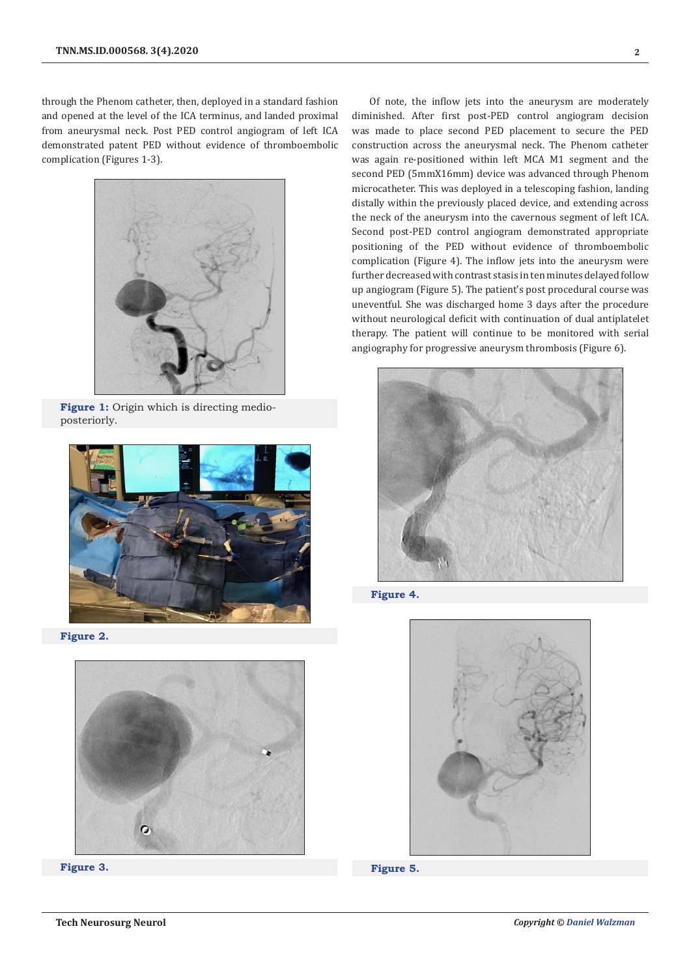through the Phenom catheter, then, deployed in a standard fashion and opened at the level of the ICA terminus, and landed proximal from aneurysmal neck. Post PED control angiogram of left ICA demonstrated patent PED without evidence of thromboembolic complication (Figures 1-3).



**Figure 1:** Origin which is directing medioposteriorly.



**Figure 2.**





Of note, the inflow jets into the aneurysm are moderately diminished. After first post-PED control angiogram decision was made to place second PED placement to secure the PED construction across the aneurysmal neck. The Phenom catheter was again re-positioned within left MCA M1 segment and the second PED (5mmX16mm) device was advanced through Phenom microcatheter. This was deployed in a telescoping fashion, landing distally within the previously placed device, and extending across the neck of the aneurysm into the cavernous segment of left ICA. Second post-PED control angiogram demonstrated appropriate positioning of the PED without evidence of thromboembolic complication (Figure 4). The inflow jets into the aneurysm were further decreased with contrast stasis in ten minutes delayed follow up angiogram (Figure 5). The patient's post procedural course was uneventful. She was discharged home 3 days after the procedure without neurological deficit with continuation of dual antiplatelet therapy. The patient will continue to be monitored with serial angiography for progressive aneurysm thrombosis (Figure 6).



**Figure 4.**



**Figure 5.**